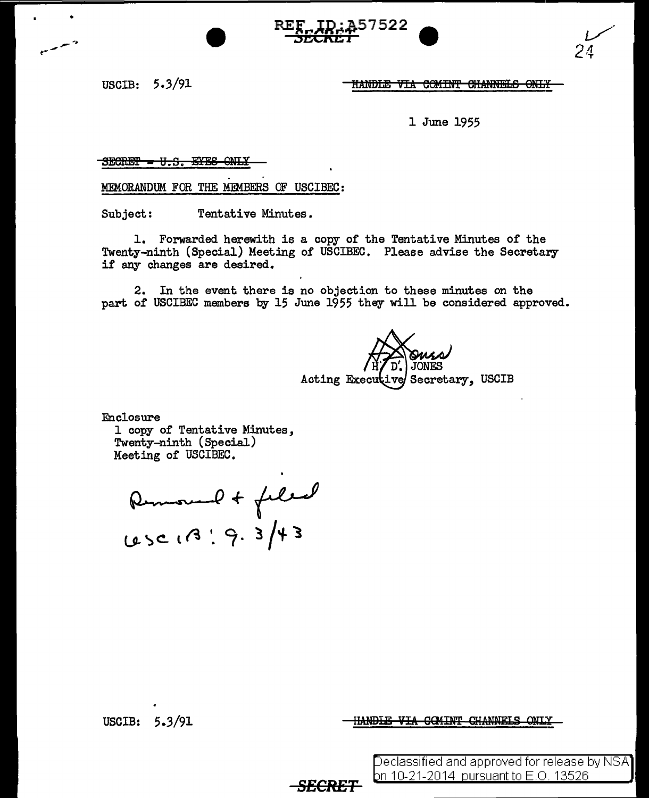USCIB: 5.3/91

•

HANDLE VIA COMINT CHANNELS ONLY

1 June 1955

57522

 $S$ ECRET - U.S. SYES ONLY

MEMORANDUM FOR THE MEMBERS OF USCIBEC:

Subject: Tentative Minutes.

1. Forwarded herewith is a copy of the Tentative Minutes of the Twenty-ninth (Special) Meeting of USCIBEC. Please advise the Secretary if any changes are desired.

2. In the event there is no objection to these minutes on the part of USCIBEC members by 15 June 1955 they will be considered approved.

*SECRET* 

Acting Executive Secretary, USCIB

Enclosure

1 copy of Tentative Minutes, Twenty-ninth (Special) Meeting of USCIBEC.

12-10 mars 11-11-11<br>Removement de filiad **u..** ~ **c.. l** ~ •. *er* **. 3** *I* **'f- <sup>l</sup>**

USCIB: *5* .3/91

<del>HANDLE VIA COMINT CHANNELS ONLY</del>

Declassified and approved for release by NSA bn 10-21-2014  $\,$ pursuant to E.O. 13526  $\,$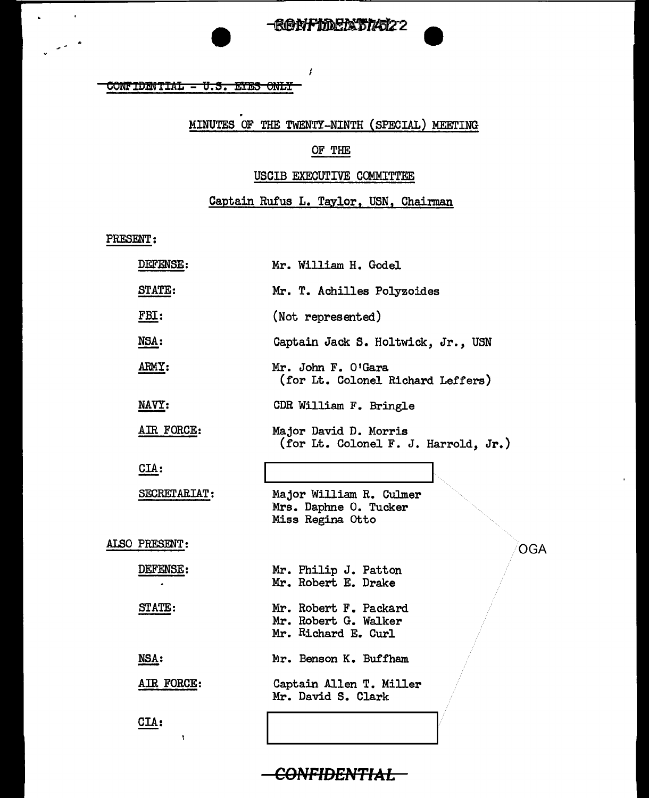### -RONFIDERSTAT22

#### $COMFIDINTIAL - U.5.$  EYES ONLY

# . MINUTES OF THE TWENTY-NINTH (SPECIAL) MEETING

 $\boldsymbol{f}$ 

### OF THE

#### USCIB EXECUTIVE COMMITTEE

### Captain Rufus L. Taylor, USN, Chairman

PRESENT:

 $\mathbf{r}$ 

 $\mathcal{L}^{(2)}$ 

| DEFENSE:      | Mr. William H. Godel                                                 |
|---------------|----------------------------------------------------------------------|
| STATE:        | Mr. T. Achilles Polyzoides                                           |
| FBI:          | (Not represented)                                                    |
| NSA:          | Captain Jack S. Holtwick, Jr., USN                                   |
| ARMY:         | Mr. John F. O'Gara<br>(for Lt. Colonel Richard Leffers)              |
| NAVY:         | CDR William F. Bringle                                               |
| AIR FORCE:    | Major David D. Morris<br>(for Lt. Colonel F. J. Harrold, Jr.)        |
| CIA:          |                                                                      |
| SECRETARIAT:  | Major William R. Culmer<br>Mrs. Daphne O. Tucker<br>Miss Regina Otto |
| ALSO PRESENT: | OGA                                                                  |
| DEFENSE:      | Mr. Philip J. Patton<br>Mr. Robert E. Drake                          |
| STATE:        | Mr. Robert F. Packard<br>Mr. Robert G. Walker<br>Mr. Richard E. Curl |
| NSA:          | Mr. Benson K. Buffham                                                |
| AIR FORCE:    | Captain Allen T. Miller<br>Mr. David S. Clark                        |
| CIA:<br>٠     |                                                                      |

### CONFIDENTIAL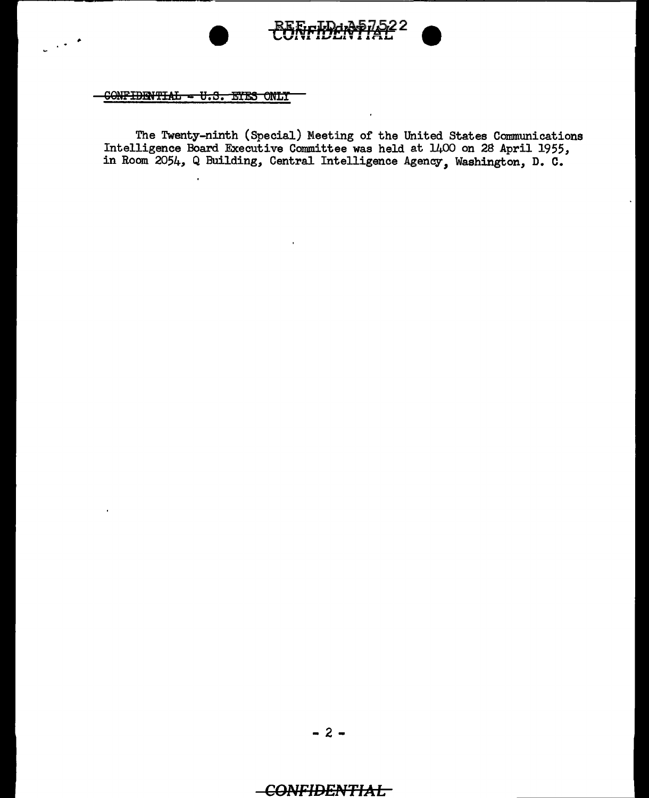

CONFIDENTIAL - U.S. EYES ONLY

 $\mathcal{L}(\mathcal{F})$ 

The Twenty-ninth (Special) Meeting of the United States Communications<br>Intelligence Board Executive Committee was held at  $1400$  on 28 April 1955,<br>in Room 2054, Q Building, Central Intelligence Agency, Washington, D. C.

### **CONFIDENTIAL**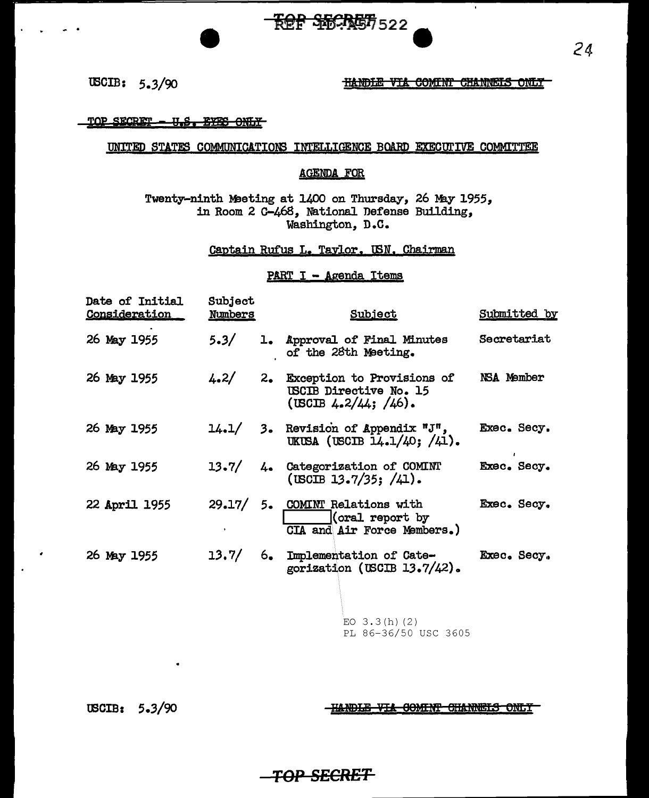### tBCIB: 5.3/90

#### HANDLE VIA COMINT CHANNELS ONLY

Ŧ

**;gp S:S:Cil£** s.s, E• om.¥

#### UNITED STATES COMMUNICATIONS INTELLIGENCE BOARD EXECUITVE COMMITTEE

#### AGENPA FOR

**FOR SECRET** 522

Twenty-ninth Meeting at 1400 on Thursday, 26 May 1955, in Room 2 C-468, National Defense Building, Washington, D.C.

#### Captain Rufus L. Taylor. IBN. Chairman

#### PART I - Agenda Items

| Date of Initial<br><b>Consideration</b> | Subject<br><u>Numbers</u> | Subject                                                                                   | Submitted by |
|-----------------------------------------|---------------------------|-------------------------------------------------------------------------------------------|--------------|
| 26 May 1955                             | 5.3/                      | 1. Approval of Final Minutes<br>of the 28th Meeting.                                      | Secretariat  |
| 26 May 1955                             |                           | $4.2/$ 2. Exception to Provisions of<br>USCIB Directive No. 15<br>$($ USCIB 4.2/44; /46). | NSA Member   |
| 26 May 1955                             |                           | $14.1/$ 3. Revision of Appendix "J",<br>UKUSA (USCIB $14.1/40$ ; $/41$ ).                 | Exec. Secy.  |
| 26 May 1955                             |                           | 13.7/ 4. Categorization of COMINT<br>$($ USCIB 13.7/35; $/41$ ).                          | Exec. Secy.  |
| 22 April 1955                           |                           | 29.17/ 5. COMINT Relations with<br>(oral report by<br>CIA and Air Force Members.)         | Exec. Secy.  |
| 26 May 1955                             |                           | 13.7/ 6. Implementation of Cate-<br>gorization (USCIB $13.7/42$ ).                        | Exec. Secy.  |
|                                         |                           | EO $3.3(h)(2)$<br>PL 86-36/50 USC 3605                                                    |              |

USCIB: 5.3/90

**-HANDLE VIA COMINT CHANNELS ONLY** 

### *TOP* **SECRET**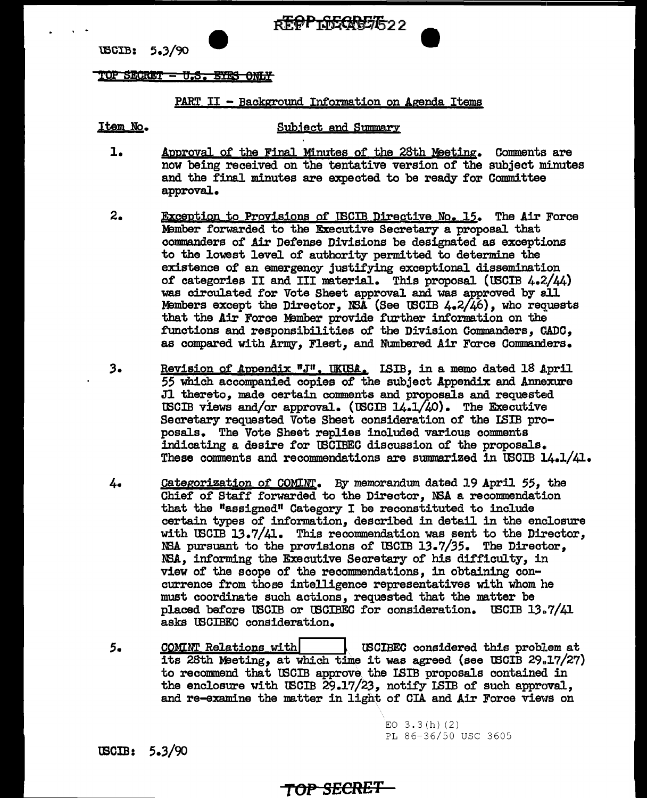REPPTDECASE/622

USCIB: 5.3/90

#### TOP **§EQltl±** - U .8. E'?f8 6Mfi¥

#### PART II - Background Information on Agenda Items

. -

Item No, Subject and Summary

- 1. Approval of the Final Minutes of the 28th Heating, Comments are now being received on the tentative version of the subject minutes and the final minutes are expected to be ready for Committee approval.
- 2. Exception to Provisions of tBCIB Directive No, 15. The Air Force Member forwarded to the Executive Secretary a proposal that commanders of Air Defense Divisions be designated as exceptions to the lowest level of authority permitted to determine the existence of an emergency justifying exceptional dissemination of categories II and III material, This proposal (tBCIB 4.2/44) was circulated for Vote Sheet approval and was approved by all Members except the Director, NSA (See USCIB  $4.2/\sqrt{46}$ ), who requests that the Air Force Member provide further information on the functions and responsibilities of the Division Commanders, CADC, as compared with Army, Fleet, and Numbered Air Force Commanders.
- 3. Revision of Appendix "J", UKUSA, ISIB, in a memo dated 18 April 55 which accompanied copies of the subject Appendix and Annexure Jl thereto, made certain comments and proposals and requested USCIB views and/or approval. (USCIB  $14.1/40$ ). The Executive Secretary requested Vote Sheet consideration of the ISIB proposals, The Vote Sheet replies included various comments indicating a desire for tBCIBEC discussion of the proposals •. These comments and recommendations are smnmarized in tBCIB 14.1/41.
- 4, Categorization of COMIN'l', By memorandum dated 19 April *55,* the Chief of Staff forwarded to the Director, NSA a recommendation that the "assigned" Category I be reconstituted to include certain types of information, described in detail in the enclosure with USCIB 13.7/41. This recommendation was sent to the Director, NSA pursuant to the provisions of USCIB  $13.7/35$ . The Director, N3A, informing the Executive Secretary of his difficulty, in view of the scope of the recommendations, in obtaining concurrence from those intelligence representatives with whom he must coordinate such actions, requested that the matter be placed before USCIB or USCIBEC for consideration. USCIB  $13.7/41$ asks tBCIBEC consideration.
- ;. CQMINT Relations with! l tBCIBEC considered this problem at its 28th Meeting, at which time it was agreed (see USCIB  $29.17/27$ ) to recommend that tBOIB approve.the ISIB proposals contained in the enclosure with tBCIB 29.17/23, notify ISIB of such approval, and re-examine the matter in light of CIA and Air Force views on

EO  $3.3(h)(2)$ PL 86-36/50 USC 3605

 $\texttt{USCIB:} \quad 5.3/90$ 

### **TOP SECRET**